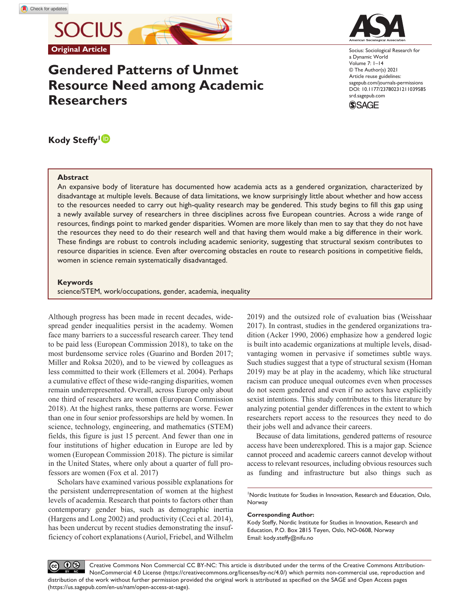**SOCIUS Original Article**

# **Gendered Patterns of Unmet Resource Need among Academic Researchers**



Socius: Sociological Research for a Dynamic World Volume 7: 1–14 © The Author(s) 2021 Article reuse guidelines: [sagepub.com/journals-permissions](https://us.sagepub.com/en-us/journals-permissions) https://doi.org/10.1177/23780231211039585 DOI: 10.1177/23780231211039585 [srd.sagepub.com](https://srd.sagepub.com) **SSAGE** 

# **Kody Steffy<sup>1</sup>**

#### **Abstract**

An expansive body of literature has documented how academia acts as a gendered organization, characterized by disadvantage at multiple levels. Because of data limitations, we know surprisingly little about whether and how access to the resources needed to carry out high-quality research may be gendered. This study begins to fill this gap using a newly available survey of researchers in three disciplines across five European countries. Across a wide range of resources, findings point to marked gender disparities. Women are more likely than men to say that they do not have the resources they need to do their research well and that having them would make a big difference in their work. These findings are robust to controls including academic seniority, suggesting that structural sexism contributes to resource disparities in science. Even after overcoming obstacles en route to research positions in competitive fields, women in science remain systematically disadvantaged.

#### **Keywords**

science/STEM, work/occupations, gender, academia, inequality

Although progress has been made in recent decades, widespread gender inequalities persist in the academy. Women face many barriers to a successful research career. They tend to be paid less (European Commission 2018), to take on the most burdensome service roles (Guarino and Borden 2017; Miller and Roksa 2020), and to be viewed by colleagues as less committed to their work (Ellemers et al. 2004). Perhaps a cumulative effect of these wide-ranging disparities, women remain underrepresented. Overall, across Europe only about one third of researchers are women (European Commission 2018). At the highest ranks, these patterns are worse. Fewer than one in four senior professorships are held by women. In science, technology, engineering, and mathematics (STEM) fields, this figure is just 15 percent. And fewer than one in four institutions of higher education in Europe are led by women (European Commission 2018). The picture is similar in the United States, where only about a quarter of full professors are women (Fox et al. 2017)

Scholars have examined various possible explanations for the persistent underrepresentation of women at the highest levels of academia. Research that points to factors other than contemporary gender bias, such as demographic inertia (Hargens and Long 2002) and productivity (Ceci et al. 2014), has been undercut by recent studies demonstrating the insufficiency of cohort explanations (Auriol, Friebel, and Wilhelm 2019) and the outsized role of evaluation bias (Weisshaar 2017). In contrast, studies in the gendered organizations tradition (Acker 1990, 2006) emphasize how a gendered logic is built into academic organizations at multiple levels, disadvantaging women in pervasive if sometimes subtle ways. Such studies suggest that a type of structural sexism (Homan 2019) may be at play in the academy, which like structural racism can produce unequal outcomes even when processes do not seem gendered and even if no actors have explicitly sexist intentions. This study contributes to this literature by analyzing potential gender differences in the extent to which researchers report access to the resources they need to do their jobs well and advance their careers.

Because of data limitations, gendered patterns of resource access have been underexplored. This is a major gap. Science cannot proceed and academic careers cannot develop without access to relevant resources, including obvious resources such as funding and infrastructure but also things such as

#### **Corresponding Author:**

Kody Steffy, Nordic Institute for Studies in Innovation, Research and Education, P.O. Box 2815 Tøyen, Oslo, NO-0608, Norway Email: [kody.steffy@nifu.no](mailto:kody.steffy@nifu.no)

 $\circledcirc$ Creative Commons Non Commercial CC BY-NC: This article is distributed under the terms of the Creative Commons Attribution- $(cc)$ NonCommercial 4.0 License (https://creativecommons.org/licenses/by-nc/4.0/) which permits non-commercial use, reproduction and distribution of the work without further permission provided the original work is attributed as specified on the SAGE and Open Access pages (https://us.sagepub.com/en-us/nam/open-access-at-sage).

<sup>1</sup> Nordic Institute for Studies in Innovation, Research and Education, Oslo, Norway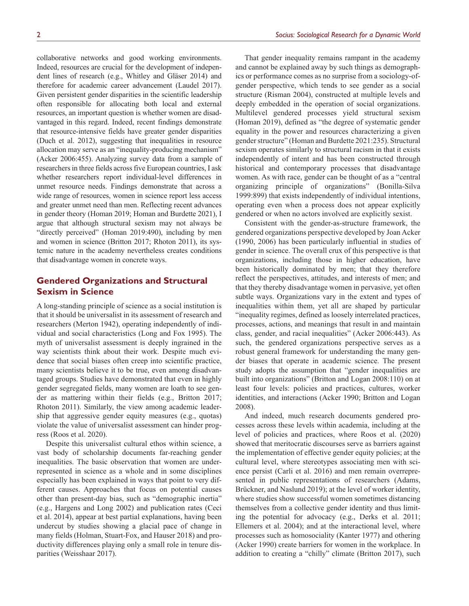collaborative networks and good working environments. Indeed, resources are crucial for the development of independent lines of research (e.g., Whitley and Gläser 2014) and therefore for academic career advancement (Laudel 2017). Given persistent gender disparities in the scientific leadership often responsible for allocating both local and external resources, an important question is whether women are disadvantaged in this regard. Indeed, recent findings demonstrate that resource-intensive fields have greater gender disparities (Duch et al. 2012), suggesting that inequalities in resource allocation may serve as an "inequality-producing mechanism" (Acker 2006:455). Analyzing survey data from a sample of researchers in three fields across five European countries, I ask whether researchers report individual-level differences in unmet resource needs. Findings demonstrate that across a wide range of resources, women in science report less access and greater unmet need than men. Reflecting recent advances in gender theory (Homan 2019; Homan and Burdette 2021), I argue that although structural sexism may not always be "directly perceived" (Homan 2019:490), including by men and women in science (Britton 2017; Rhoton 2011), its systemic nature in the academy nevertheless creates conditions that disadvantage women in concrete ways.

# **Gendered Organizations and Structural Sexism in Science**

A long-standing principle of science as a social institution is that it should be universalist in its assessment of research and researchers (Merton 1942), operating independently of individual and social characteristics (Long and Fox 1995). The myth of universalist assessment is deeply ingrained in the way scientists think about their work. Despite much evidence that social biases often creep into scientific practice, many scientists believe it to be true, even among disadvantaged groups. Studies have demonstrated that even in highly gender segregated fields, many women are loath to see gender as mattering within their fields (e.g., Britton 2017; Rhoton 2011). Similarly, the view among academic leadership that aggressive gender equity measures (e.g., quotas) violate the value of universalist assessment can hinder progress (Roos et al. 2020).

Despite this universalist cultural ethos within science, a vast body of scholarship documents far-reaching gender inequalities. The basic observation that women are underrepresented in science as a whole and in some disciplines especially has been explained in ways that point to very different causes. Approaches that focus on potential causes other than present-day bias, such as "demographic inertia" (e.g., Hargens and Long 2002) and publication rates (Ceci et al. 2014), appear at best partial explanations, having been undercut by studies showing a glacial pace of change in many fields (Holman, Stuart-Fox, and Hauser 2018) and productivity differences playing only a small role in tenure disparities (Weisshaar 2017).

That gender inequality remains rampant in the academy and cannot be explained away by such things as demographics or performance comes as no surprise from a sociology-ofgender perspective, which tends to see gender as a social structure (Risman 2004), constructed at multiple levels and deeply embedded in the operation of social organizations. Multilevel gendered processes yield structural sexism (Homan 2019), defined as "the degree of systematic gender equality in the power and resources characterizing a given gender structure" (Homan and Burdette 2021:235). Structural sexism operates similarly to structural racism in that it exists independently of intent and has been constructed through historical and contemporary processes that disadvantage women. As with race, gender can be thought of as a "central organizing principle of organizations" (Bonilla-Silva 1999:899) that exists independently of individual intentions, operating even when a process does not appear explicitly gendered or when no actors involved are explicitly sexist.

Consistent with the gender-as-structure framework, the gendered organizations perspective developed by Joan Acker (1990, 2006) has been particularly influential in studies of gender in science. The overall crux of this perspective is that organizations, including those in higher education, have been historically dominated by men; that they therefore reflect the perspectives, attitudes, and interests of men; and that they thereby disadvantage women in pervasive, yet often subtle ways. Organizations vary in the extent and types of inequalities within them, yet all are shaped by particular "inequality regimes, defined as loosely interrelated practices, processes, actions, and meanings that result in and maintain class, gender, and racial inequalities" (Acker 2006:443). As such, the gendered organizations perspective serves as a robust general framework for understanding the many gender biases that operate in academic science. The present study adopts the assumption that "gender inequalities are built into organizations" (Britton and Logan 2008:110) on at least four levels: policies and practices, cultures, worker identities, and interactions (Acker 1990; Britton and Logan 2008).

And indeed, much research documents gendered processes across these levels within academia, including at the level of policies and practices, where Roos et al. (2020) showed that meritocratic discourses serve as barriers against the implementation of effective gender equity policies; at the cultural level, where stereotypes associating men with science persist (Carli et al. 2016) and men remain overrepresented in public representations of researchers (Adams, Brückner, and Naslund 2019); at the level of worker identity, where studies show successful women sometimes distancing themselves from a collective gender identity and thus limiting the potential for advocacy (e.g., Derks et al. 2011; Ellemers et al. 2004); and at the interactional level, where processes such as homosociality (Kanter 1977) and othering (Acker 1990) create barriers for women in the workplace. In addition to creating a "chilly" climate (Britton 2017), such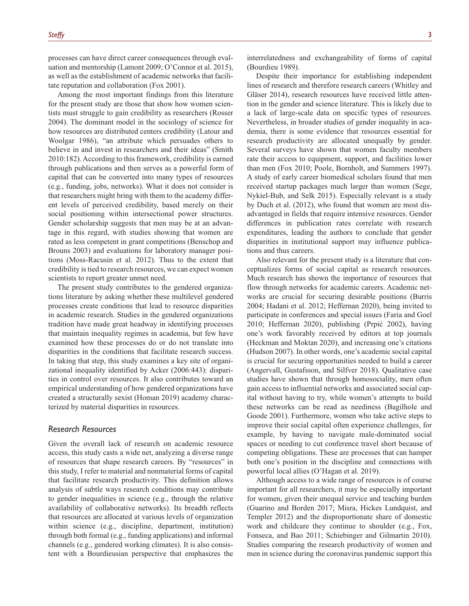processes can have direct career consequences through evaluation and mentorship (Lamont 2009; O'Connor et al. 2015), as well as the establishment of academic networks that facilitate reputation and collaboration (Fox 2001).

Among the most important findings from this literature for the present study are those that show how women scientists must struggle to gain credibility as researchers (Rosser 2004). The dominant model in the sociology of science for how resources are distributed centers credibility (Latour and Woolgar 1986), "an attribute which persuades others to believe in and invest in researchers and their ideas" (Smith 2010:182). According to this framework, credibility is earned through publications and then serves as a powerful form of capital that can be converted into many types of resources (e.g., funding, jobs, networks). What it does not consider is that researchers might bring with them to the academy different levels of perceived credibility, based merely on their social positioning within intersectional power structures. Gender scholarship suggests that men may be at an advantage in this regard, with studies showing that women are rated as less competent in grant competitions (Benschop and Brouns 2003) and evaluations for laboratory manager positions (Moss-Racusin et al. 2012). Thus to the extent that credibility is tied to research resources, we can expect women scientists to report greater unmet need.

The present study contributes to the gendered organizations literature by asking whether these multilevel gendered processes create conditions that lead to resource disparities in academic research. Studies in the gendered organizations tradition have made great headway in identifying processes that maintain inequality regimes in academia, but few have examined how these processes do or do not translate into disparities in the conditions that facilitate research success. In taking that step, this study examines a key site of organizational inequality identified by Acker (2006:443): disparities in control over resources. It also contributes toward an empirical understanding of how gendered organizations have created a structurally sexist (Homan 2019) academy characterized by material disparities in resources.

## *Research Resources*

Given the overall lack of research on academic resource access, this study casts a wide net, analyzing a diverse range of resources that shape research careers. By "resources" in this study, I refer to material and nonmaterial forms of capital that facilitate research productivity. This definition allows analysis of subtle ways research conditions may contribute to gender inequalities in science (e.g., through the relative availability of collaborative networks). Its breadth reflects that resources are allocated at various levels of organization within science (e.g., discipline, department, institution) through both formal (e.g., funding applications) and informal channels (e.g., gendered working climates). It is also consistent with a Bourdieusian perspective that emphasizes the interrelatedness and exchangeability of forms of capital (Bourdieu 1989).

Despite their importance for establishing independent lines of research and therefore research careers (Whitley and Gläser 2014), research resources have received little attention in the gender and science literature. This is likely due to a lack of large-scale data on specific types of resources. Nevertheless, in broader studies of gender inequality in academia, there is some evidence that resources essential for research productivity are allocated unequally by gender. Several surveys have shown that women faculty members rate their access to equipment, support, and facilities lower than men (Fox 2010; Poole, Bornholt, and Summers 1997). A study of early career biomedical scholars found that men received startup packages much larger than women (Sege, Nykiel-Bub, and Selk 2015). Especially relevant is a study by Duch et al. (2012), who found that women are most disadvantaged in fields that require intensive resources. Gender differences in publication rates correlate with research expenditures, leading the authors to conclude that gender disparities in institutional support may influence publications and thus careers.

Also relevant for the present study is a literature that conceptualizes forms of social capital as research resources. Much research has shown the importance of resources that flow through networks for academic careers. Academic networks are crucial for securing desirable positions (Burris 2004; Hadani et al. 2012; Heffernan 2020), being invited to participate in conferences and special issues (Faria and Goel 2010; Heffernan 2020), publishing (Prpić 2002), having one's work favorably received by editors at top journals (Heckman and Moktan 2020), and increasing one's citations (Hudson 2007). In other words, one's academic social capital is crucial for securing opportunities needed to build a career (Angervall, Gustafsson, and Silfver 2018). Qualitative case studies have shown that through homosociality, men often gain access to influential networks and associated social capital without having to try, while women's attempts to build these networks can be read as neediness (Bagilhole and Goode 2001). Furthermore, women who take active steps to improve their social capital often experience challenges, for example, by having to navigate male-dominated social spaces or needing to cut conference travel short because of competing obligations. These are processes that can hamper both one's position in the discipline and connections with powerful local allies (O'Hagan et al. 2019).

Although access to a wide range of resources is of course important for all researchers, it may be especially important for women, given their unequal service and teaching burden (Guarino and Borden 2017; Misra, Hickes Lundquist, and Templer 2012) and the disproportionate share of domestic work and childcare they continue to shoulder (e.g., Fox, Fonseca, and Bao 2011; Schiebinger and Gilmartin 2010). Studies comparing the research productivity of women and men in science during the coronavirus pandemic support this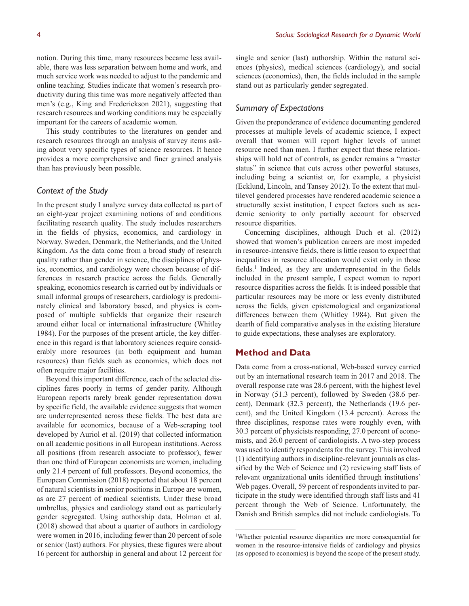notion. During this time, many resources became less available, there was less separation between home and work, and much service work was needed to adjust to the pandemic and online teaching. Studies indicate that women's research productivity during this time was more negatively affected than men's (e.g., King and Frederickson 2021), suggesting that research resources and working conditions may be especially important for the careers of academic women.

This study contributes to the literatures on gender and research resources through an analysis of survey items asking about very specific types of science resources. It hence provides a more comprehensive and finer grained analysis than has previously been possible.

# *Context of the Study*

In the present study I analyze survey data collected as part of an eight-year project examining notions of and conditions facilitating research quality. The study includes researchers in the fields of physics, economics, and cardiology in Norway, Sweden, Denmark, the Netherlands, and the United Kingdom. As the data come from a broad study of research quality rather than gender in science, the disciplines of physics, economics, and cardiology were chosen because of differences in research practice across the fields. Generally speaking, economics research is carried out by individuals or small informal groups of researchers, cardiology is predominately clinical and laboratory based, and physics is composed of multiple subfields that organize their research around either local or international infrastructure (Whitley 1984). For the purposes of the present article, the key difference in this regard is that laboratory sciences require considerably more resources (in both equipment and human resources) than fields such as economics, which does not often require major facilities.

Beyond this important difference, each of the selected disciplines fares poorly in terms of gender parity. Although European reports rarely break gender representation down by specific field, the available evidence suggests that women are underrepresented across these fields. The best data are available for economics, because of a Web-scraping tool developed by Auriol et al. (2019) that collected information on all academic positions in all European institutions. Across all positions (from research associate to professor), fewer than one third of European economists are women, including only 21.4 percent of full professors. Beyond economics, the European Commission (2018) reported that about 18 percent of natural scientists in senior positions in Europe are women, as are 27 percent of medical scientists. Under these broad umbrellas, physics and cardiology stand out as particularly gender segregated. Using authorship data, Holman et al. (2018) showed that about a quarter of authors in cardiology were women in 2016, including fewer than 20 percent of sole or senior (last) authors. For physics, these figures were about 16 percent for authorship in general and about 12 percent for

single and senior (last) authorship. Within the natural sciences (physics), medical sciences (cardiology), and social sciences (economics), then, the fields included in the sample stand out as particularly gender segregated.

## *Summary of Expectations*

Given the preponderance of evidence documenting gendered processes at multiple levels of academic science, I expect overall that women will report higher levels of unmet resource need than men. I further expect that these relationships will hold net of controls, as gender remains a "master status" in science that cuts across other powerful statuses, including being a scientist or, for example, a physicist (Ecklund, Lincoln, and Tansey 2012). To the extent that multilevel gendered processes have rendered academic science a structurally sexist institution, I expect factors such as academic seniority to only partially account for observed resource disparities.

Concerning disciplines, although Duch et al. (2012) showed that women's publication careers are most impeded in resource-intensive fields, there is little reason to expect that inequalities in resource allocation would exist only in those fields.<sup>1</sup> Indeed, as they are underrepresented in the fields included in the present sample, I expect women to report resource disparities across the fields. It is indeed possible that particular resources may be more or less evenly distributed across the fields, given epistemological and organizational differences between them (Whitley 1984). But given the dearth of field comparative analyses in the existing literature to guide expectations, these analyses are exploratory.

# **Method and Data**

Data come from a cross-national, Web-based survey carried out by an international research team in 2017 and 2018. The overall response rate was 28.6 percent, with the highest level in Norway (51.3 percent), followed by Sweden (38.6 percent), Denmark (32.3 percent), the Netherlands (19.6 percent), and the United Kingdom (13.4 percent). Across the three disciplines, response rates were roughly even, with 30.3 percent of physicists responding, 27.0 percent of economists, and 26.0 percent of cardiologists. A two-step process was used to identify respondents for the survey. This involved (1) identifying authors in discipline-relevant journals as classified by the Web of Science and (2) reviewing staff lists of relevant organizational units identified through institutions' Web pages. Overall, 59 percent of respondents invited to participate in the study were identified through staff lists and 41 percent through the Web of Science. Unfortunately, the Danish and British samples did not include cardiologists. To

<sup>1</sup> Whether potential resource disparities are more consequential for women in the resource-intensive fields of cardiology and physics (as opposed to economics) is beyond the scope of the present study.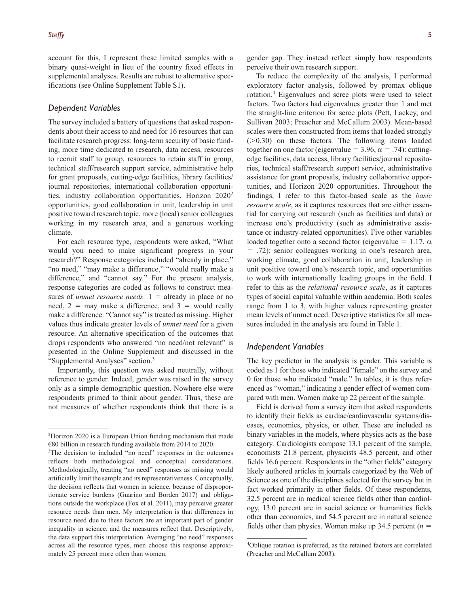account for this, I represent these limited samples with a binary quasi-weight in lieu of the country fixed effects in supplemental analyses. Results are robust to alternative specifications (see Online Supplement Table S1).

## *Dependent Variables*

The survey included a battery of questions that asked respondents about their access to and need for 16 resources that can facilitate research progress: long-term security of basic funding, more time dedicated to research, data access, resources to recruit staff to group, resources to retain staff in group, technical staff/research support service, administrative help for grant proposals, cutting-edge facilities, library facilities/ journal repositories, international collaboration opportunities, industry collaboration opportunities, Horizon 20202 opportunities, good collaboration in unit, leadership in unit positive toward research topic, more (local) senior colleagues working in my research area, and a generous working climate.

For each resource type, respondents were asked, "What would you need to make significant progress in your research?" Response categories included "already in place," "no need," "may make a difference," "would really make a difference," and "cannot say." For the present analysis, response categories are coded as follows to construct measures of *unmet resource needs:* 1 = already in place or no need,  $2 =$  may make a difference, and  $3 =$  would really make a difference. "Cannot say" is treated as missing. Higher values thus indicate greater levels of *unmet need* for a given resource. An alternative specification of the outcomes that drops respondents who answered "no need/not relevant" is presented in the Online Supplement and discussed in the "Supplemental Analyses" section.<sup>3</sup>

Importantly, this question was asked neutrally, without reference to gender. Indeed, gender was raised in the survey only as a simple demographic question. Nowhere else were respondents primed to think about gender. Thus, these are not measures of whether respondents think that there is a

To reduce the complexity of the analysis, I performed exploratory factor analysis, followed by promax oblique rotation.4 Eigenvalues and scree plots were used to select factors. Two factors had eigenvalues greater than 1 and met the straight-line criterion for scree plots (Pett, Lackey, and Sullivan 2003; Preacher and McCallum 2003). Mean-based scales were then constructed from items that loaded strongly  $(>0.30)$  on these factors. The following items loaded together on one factor (eigenvalue = 3.96,  $\alpha$  = .74): cuttingedge facilities, data access, library facilities/journal repositories, technical staff/research support service, administrative assistance for grant proposals, industry collaborative opportunities, and Horizon 2020 opportunities. Throughout the findings, I refer to this factor-based scale as the *basic resource scale*, as it captures resources that are either essential for carrying out research (such as facilities and data) or increase one's productivity (such as administrative assistance or industry-related opportunities). Five other variables loaded together onto a second factor (eigenvalue = 1.17,  $\alpha$ ) = .72): senior colleagues working in one's research area, working climate, good collaboration in unit, leadership in unit positive toward one's research topic, and opportunities to work with internationally leading groups in the field. I refer to this as the *relational resource scale*, as it captures types of social capital valuable within academia. Both scales range from 1 to 3, with higher values representing greater mean levels of unmet need. Descriptive statistics for all measures included in the analysis are found in Table 1.

## *Independent Variables*

The key predictor in the analysis is gender. This variable is coded as 1 for those who indicated "female" on the survey and 0 for those who indicated "male." In tables, it is thus referenced as "woman," indicating a gender effect of women compared with men. Women make up 22 percent of the sample.

Field is derived from a survey item that asked respondents to identify their fields as cardiac/cardiovascular systems/diseases, economics, physics, or other. These are included as binary variables in the models, where physics acts as the base category. Cardiologists compose 13.1 percent of the sample, economists 21.8 percent, physicists 48.5 percent, and other fields 16.6 percent. Respondents in the "other fields" category likely authored articles in journals categorized by the Web of Science as one of the disciplines selected for the survey but in fact worked primarily in other fields. Of these respondents, 32.5 percent are in medical science fields other than cardiology, 13.0 percent are in social science or humanities fields other than economics, and 54.5 percent are in natural science fields other than physics. Women make up 34.5 percent  $(n =$ 

<sup>2</sup> Horizon 2020 is a European Union funding mechanism that made €80 billion in research funding available from 2014 to 2020.

<sup>&</sup>lt;sup>3</sup>The decision to included "no need" responses in the outcomes reflects both methodological and conceptual considerations. Methodologically, treating "no need" responses as missing would artificially limit the sample and its representativeness. Conceptually, the decision reflects that women in science, because of disproportionate service burdens (Guarino and Borden 2017) and obligations outside the workplace (Fox et al. 2011), may perceive greater resource needs than men. My interpretation is that differences in resource need due to these factors are an important part of gender inequality in science, and the measures reflect that. Descriptively, the data support this interpretation. Averaging "no need" responses across all the resource types, men choose this response approximately 25 percent more often than women.

<sup>4</sup> Oblique rotation is preferred, as the retained factors are correlated (Preacher and McCallum 2003).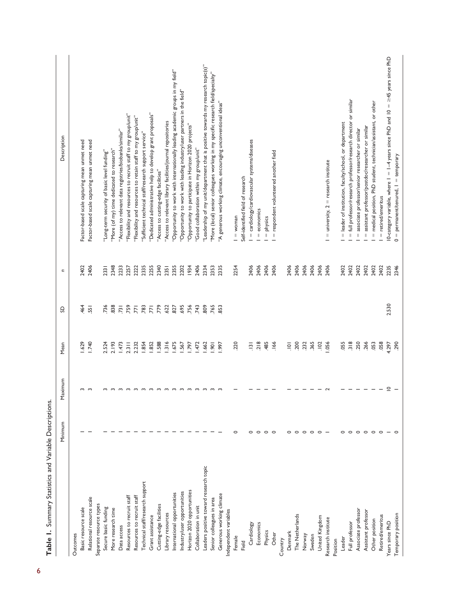|                                        | Minimum | laximum<br>Σ | Mean                 | ဥ                | n    | Description                                                                                |
|----------------------------------------|---------|--------------|----------------------|------------------|------|--------------------------------------------------------------------------------------------|
| Outcomes                               |         |              |                      |                  |      |                                                                                            |
| Basic resource scale                   |         | S            | 1.629                | 464              | 2402 | Factor-based scale capturing mean unmet need                                               |
| Relational resource scale              |         | $\sim$       | 1.740                | 55               | 2406 | Factor-based scale capturing mean unmet need                                               |
| Separate resource types                |         |              |                      |                  |      |                                                                                            |
| Secure basic funding                   |         |              | 2.524                | 736              | 2331 | 'Long-term security of basic level funding"                                                |
| More research time                     |         |              | 2.193                | 838              | 2348 | "More (of my) time dedicated to research"                                                  |
| Data access                            |         |              | 1.473                | $\overline{731}$ | 2233 | "Access to relevant data registries/biobanks/similar"                                      |
| Resources to recruit staff             |         |              | $2.3$ <sub>III</sub> | 759              | 2257 | 'Flexibility and resources to recruit staff to my group/unit"                              |
| Resources to recruit staff             |         |              | 2.232                | $\overline{7}$   | 222  | 'Flexibility and resources to retain staff to my group/unit"                               |
| Technical staff/research support       |         |              | 1.854                | .783             | 2335 | 'Sufficient technical staff/research support service"                                      |
| Grant assistance                       |         |              | 1.852                | $\overline{7}$   | 2255 | "Dedicated administrative help to develop grant proposals"                                 |
| Cutting-edge facilities                |         |              | .588                 | .779             | 2340 | "Access to cutting-edge facilities"                                                        |
| Library resources                      |         |              | 1316                 | 622              | 2351 | 'Access to relevant library facilities/journal repositories                                |
| International opportunities            |         | $\sim$       | 1.675                | 827              | 2355 | "Opportunity to work with internationally leading academic groups in my field"             |
| Industry/user opportunities            |         | $\sim$       | 1.567                | 695              | 2202 | "Opportunity to work with leading industry/user partners in the field"                     |
| Horizon 2020 opportunities             |         |              | 797                  | .756             | 1934 | "Opportunity to participate in Horizon 2020 projects"                                      |
| Collaboration in unit                  |         |              | 1.472                | .743             | 2406 | "Good collaboration within my group/unit"                                                  |
| Leaders positive toward research topic |         |              | .662                 | 809              | 2334 | "Leadership of my unit/department that is positive towards my research topic(s)"           |
| Senior colleagues in area              |         |              | $-901$               | .765             | 2353 | "More (local) senior colleagues working in my specific research field/specialty"           |
| Generous working climate               |         |              | .997                 | 853              | 2335 | "A generous working climate, encouraging unconventional ideas"                             |
| Independent variables                  |         |              |                      |                  |      |                                                                                            |
| Female                                 |         |              | .220                 |                  | 2254 | $I =$ woman                                                                                |
| Field                                  |         |              |                      |                  |      | Self-identified field of research                                                          |
| Cardiology                             |         |              | $\frac{13}{2}$       |                  | 2406 | = cardiology/cardiovascular systems/diseases                                               |
| Economics                              | 0       |              | .218                 |                  | 2406 | economics<br>$\parallel$                                                                   |
| Physics                                | $\circ$ |              | .485                 |                  | 2406 | physics<br>$\parallel$                                                                     |
| Other                                  | $\circ$ |              | .166                 |                  | 2406 | respondent volunteered another field<br>$\left\vert {}\right\vert$                         |
| Country                                |         |              |                      |                  |      |                                                                                            |
| Denmark                                |         |              | $\overline{101}$     |                  | 2406 |                                                                                            |
| The Netherlands                        | $\circ$ |              | .200                 |                  | 2406 |                                                                                            |
| Norway                                 | $\circ$ |              | .232                 |                  | 2406 |                                                                                            |
| Sweden                                 |         |              | .365                 |                  | 2406 |                                                                                            |
| United Kingdom                         |         |              | .102                 |                  | 2406 |                                                                                            |
| Research institute                     |         |              | .056                 |                  | 2406 | $=$ university, $2 =$ research institute                                                   |
| Position                               |         |              |                      |                  |      |                                                                                            |
| Leader                                 |         |              | .055                 |                  | 2402 | = leader of institution, faculty/school, or department                                     |
| Full professor                         | $\circ$ |              | 318                  |                  | 2402 | = full professor/research professor/research director or similar                           |
| Associate professor                    | $\circ$ |              | .250                 |                  | 2402 | associate professor/senior researcher or similar<br>$\lvert \rvert$                        |
| Assistant professor                    | $\circ$ |              | .266                 |                  | 2402 | assistant professor/postdoc/researcher or similar<br>$\, \parallel$                        |
| Other position                         | $\circ$ |              | .053                 |                  | 2402 | = medical position, PhD student, technician/assistant, or other                            |
| Retired/emeritus                       |         |              | .058                 |                  | 2402 | = retired/emeritus                                                                         |
| Years since PhD                        |         | $\subseteq$  | 4.297                | 2.530            | 2235 | 10-category variable, where $I = I - 4$ years since PhD and $10 = \geq 45$ years since PhD |
| Temporary position                     |         |              | .290                 |                  | 2346 | $0 =$ permanent/tenured, $1 =$ temporary                                                   |

Table 1. Summary Statistics and Variable Descriptions. **Table 1.** Summary Statistics and Variable Descriptions.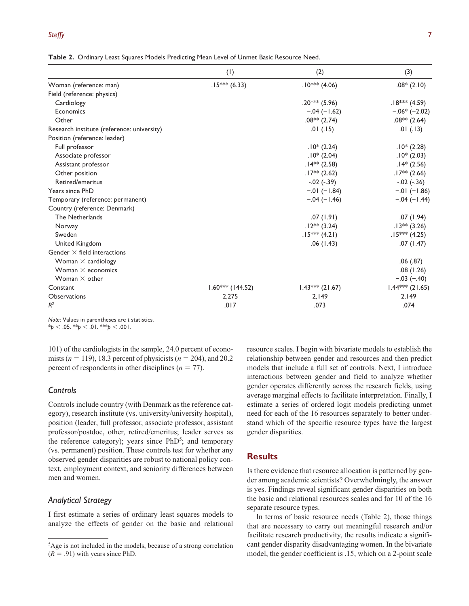|                                            | (1)                | (2)               | (3)               |
|--------------------------------------------|--------------------|-------------------|-------------------|
| Woman (reference: man)                     | $.15***$ (6.33)    | $.10***$ (4.06)   | $.08*(2.10)$      |
| Field (reference: physics)                 |                    |                   |                   |
| Cardiology                                 |                    | $.20***$ (5.96)   | $.18***$ (4.59)   |
| Economics                                  |                    | $-.04 (-1.62)$    | $-.06*(-2.02)$    |
| Other                                      |                    | $.08***$ (2.74)   | $.08**$ (2.64)    |
| Research institute (reference: university) |                    | .01(.15)          | .01(.13)          |
| Position (reference: leader)               |                    |                   |                   |
| Full professor                             |                    | $.10*(2.24)$      | $.10*(2.28)$      |
| Associate professor                        |                    | $.10*(2.04)$      | $.10*(2.03)$      |
| Assistant professor                        |                    | $.14***$ (2.58)   | $.14*(2.56)$      |
| Other position                             |                    | $.17**$ (2.62)    | $.17** (2.66)$    |
| Retired/emeritus                           |                    | $-.02(-.39)$      | $-.02 (-.36)$     |
| Years since PhD                            |                    | $-.01(-1.84)$     | $-.01 (-1.86)$    |
| Temporary (reference: permanent)           |                    | $-.04 (-1.46)$    | $-.04 (-1.44)$    |
| Country (reference: Denmark)               |                    |                   |                   |
| The Netherlands                            |                    | .07(1.91)         | .07(1.94)         |
| Norway                                     |                    | $.12***$ (3.24)   | $.13***$ (3.26)   |
| Sweden                                     |                    | $.15***$ (4.21)   | $.15***$ (4.25)   |
| United Kingdom                             |                    | .06(1.43)         | .07(1.47)         |
| Gender $\times$ field interactions         |                    |                   |                   |
| Woman $\times$ cardiology                  |                    |                   | .06(.87)          |
| Woman $\times$ economics                   |                    |                   | .08(1.26)         |
| Woman $\times$ other                       |                    |                   | $-.03 (-.40)$     |
| Constant                                   | $1.60***$ (144.52) | $1.43***$ (21.67) | $1.44***$ (21.65) |
| <b>Observations</b>                        | 2,275              | 2,149             | 2,149             |
| $R^2$                                      | .017               | .073              | .074              |

**Table 2.** Ordinary Least Squares Models Predicting Mean Level of Unmet Basic Resource Need.

*Note*: Values in parentheses are *t* statistics.

\**p* < .05. \*\**p* < .01. \*\*\**p* < .001.

101) of the cardiologists in the sample, 24.0 percent of economists (*n* = 119), 18.3 percent of physicists (*n* = 204), and 20.2 percent of respondents in other disciplines ( $n = 77$ ).

## *Controls*

Controls include country (with Denmark as the reference category), research institute (vs. university/university hospital), position (leader, full professor, associate professor, assistant professor/postdoc, other, retired/emeritus; leader serves as the reference category); years since PhD<sup>5</sup>; and temporary (vs. permanent) position. These controls test for whether any observed gender disparities are robust to national policy context, employment context, and seniority differences between men and women.

# *Analytical Strategy*

I first estimate a series of ordinary least squares models to analyze the effects of gender on the basic and relational resource scales. I begin with bivariate models to establish the relationship between gender and resources and then predict models that include a full set of controls. Next, I introduce interactions between gender and field to analyze whether gender operates differently across the research fields, using average marginal effects to facilitate interpretation. Finally, I estimate a series of ordered logit models predicting unmet need for each of the 16 resources separately to better understand which of the specific resource types have the largest gender disparities.

## **Results**

Is there evidence that resource allocation is patterned by gender among academic scientists? Overwhelmingly, the answer is yes. Findings reveal significant gender disparities on both the basic and relational resources scales and for 10 of the 16 separate resource types.

In terms of basic resource needs (Table 2), those things that are necessary to carry out meaningful research and/or facilitate research productivity, the results indicate a significant gender disparity disadvantaging women. In the bivariate model, the gender coefficient is .15, which on a 2-point scale

<sup>5</sup> Age is not included in the models, because of a strong correlation  $(R = .91)$  with years since PhD.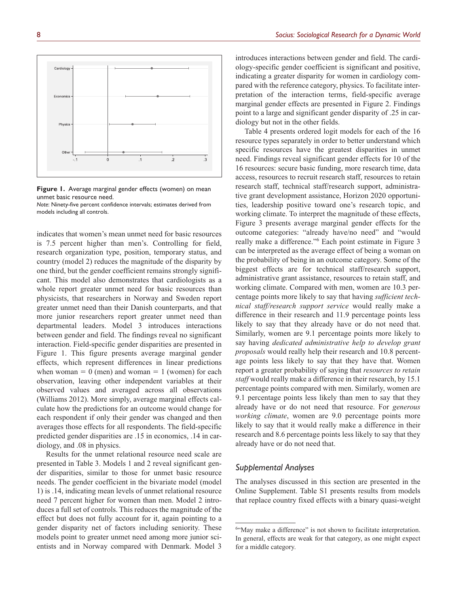**Figure 1.** Average marginal gender effects (women) on mean unmet basic resource need. *Note*: Ninety-five percent confidence intervals; estimates derived from models including all controls.

indicates that women's mean unmet need for basic resources is 7.5 percent higher than men's. Controlling for field, research organization type, position, temporary status, and country (model 2) reduces the magnitude of the disparity by one third, but the gender coefficient remains strongly significant. This model also demonstrates that cardiologists as a whole report greater unmet need for basic resources than physicists, that researchers in Norway and Sweden report greater unmet need than their Danish counterparts, and that more junior researchers report greater unmet need than departmental leaders. Model 3 introduces interactions between gender and field. The findings reveal no significant interaction. Field-specific gender disparities are presented in Figure 1. This figure presents average marginal gender effects, which represent differences in linear predictions when woman  $= 0$  (men) and woman  $= 1$  (women) for each observation, leaving other independent variables at their observed values and averaged across all observations (Williams 2012). More simply, average marginal effects calculate how the predictions for an outcome would change for each respondent if only their gender was changed and then averages those effects for all respondents. The field-specific predicted gender disparities are .15 in economics, .14 in cardiology, and .08 in physics.

Results for the unmet relational resource need scale are presented in Table 3. Models 1 and 2 reveal significant gender disparities, similar to those for unmet basic resource needs. The gender coefficient in the bivariate model (model 1) is .14, indicating mean levels of unmet relational resource need 7 percent higher for women than men. Model 2 introduces a full set of controls. This reduces the magnitude of the effect but does not fully account for it, again pointing to a gender disparity net of factors including seniority. These models point to greater unmet need among more junior scientists and in Norway compared with Denmark. Model 3

introduces interactions between gender and field. The cardiology-specific gender coefficient is significant and positive, indicating a greater disparity for women in cardiology compared with the reference category, physics. To facilitate interpretation of the interaction terms, field-specific average marginal gender effects are presented in Figure 2. Findings point to a large and significant gender disparity of .25 in cardiology but not in the other fields.

Table 4 presents ordered logit models for each of the 16 resource types separately in order to better understand which specific resources have the greatest disparities in unmet need. Findings reveal significant gender effects for 10 of the 16 resources: secure basic funding, more research time, data access, resources to recruit research staff, resources to retain research staff, technical staff/research support, administrative grant development assistance, Horizon 2020 opportunities, leadership positive toward one's research topic, and working climate. To interpret the magnitude of these effects, Figure 3 presents average marginal gender effects for the outcome categories: "already have/no need" and "would really make a difference."6 Each point estimate in Figure 3 can be interpreted as the average effect of being a woman on the probability of being in an outcome category. Some of the biggest effects are for technical staff/research support, administrative grant assistance, resources to retain staff, and working climate. Compared with men, women are 10.3 percentage points more likely to say that having *sufficient technical staff/research support service* would really make a difference in their research and 11.9 percentage points less likely to say that they already have or do not need that. Similarly, women are 9.1 percentage points more likely to say having *dedicated administrative help to develop grant proposals* would really help their research and 10.8 percentage points less likely to say that they have that. Women report a greater probability of saying that *resources to retain staff* would really make a difference in their research, by 15.1 percentage points compared with men. Similarly, women are 9.1 percentage points less likely than men to say that they already have or do not need that resource. For *generous working climate*, women are 9.0 percentage points more likely to say that it would really make a difference in their research and 8.6 percentage points less likely to say that they already have or do not need that.

## *Supplemental Analyses*

The analyses discussed in this section are presented in the Online Supplement. Table S1 presents results from models that replace country fixed effects with a binary quasi-weight



<sup>6</sup> "May make a difference" is not shown to facilitate interpretation. In general, effects are weak for that category, as one might expect for a middle category.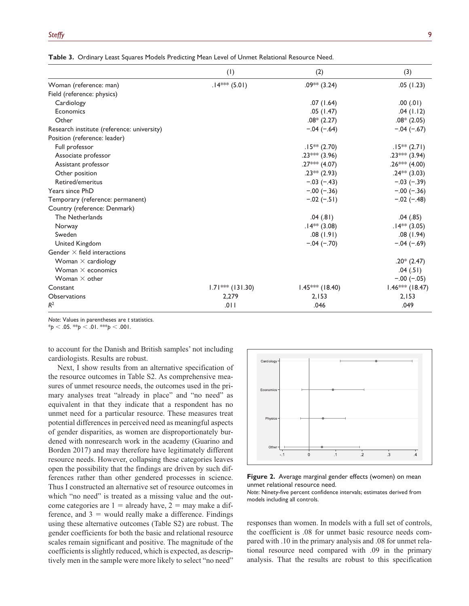|                                            | (1)                | (2)               | (3)               |
|--------------------------------------------|--------------------|-------------------|-------------------|
| Woman (reference: man)                     | $.14***$ (5.01)    | $.09***$ (3.24)   | .05(1.23)         |
| Field (reference: physics)                 |                    |                   |                   |
| Cardiology                                 |                    | .07(1.64)         | .00(.01)          |
| Economics                                  |                    | .05(1.47)         | .04(1.12)         |
| Other                                      |                    | $.08*(2.27)$      | $.08*(2.05)$      |
| Research institute (reference: university) |                    | $-.04 (-.64)$     | $-.04 (-.67)$     |
| Position (reference: leader)               |                    |                   |                   |
| Full professor                             |                    | $.15***$ (2.70)   | $.15***$ (2.71)   |
| Associate professor                        |                    | $.23***$ (3.96)   | $.23***$ (3.94)   |
| Assistant professor                        |                    | $.27***$ (4.07)   | .26*** $(4.00)$   |
| Other position                             |                    | $.23**$ (2.93)    | $.24***$ (3.03)   |
| Retired/emeritus                           |                    | $-.03(-.43)$      | $-.03(-.39)$      |
| Years since PhD                            |                    | $-.00 (-.36)$     | $-.00 (-.36)$     |
| Temporary (reference: permanent)           |                    | $-.02 (-.51)$     | $-.02 (-.48)$     |
| Country (reference: Denmark)               |                    |                   |                   |
| The Netherlands                            |                    | .04(.81)          | .04(.85)          |
| Norway                                     |                    | $.14**$ (3.08)    | $.14**$ (3.05)    |
| Sweden                                     |                    | .08(1.91)         | .08(1.94)         |
| United Kingdom                             |                    | $-.04 (-.70)$     | $-.04 (-.69)$     |
| Gender $\times$ field interactions         |                    |                   |                   |
| Woman $\times$ cardiology                  |                    |                   | $.20*(2.47)$      |
| Woman $\times$ economics                   |                    |                   | .04(.51)          |
| Woman $\times$ other                       |                    |                   | $-.00 (-.05)$     |
| Constant                                   | $1.71***$ (131.30) | $1.45***$ (18.40) | $1.46***$ (18.47) |
| Observations                               | 2,279              | 2,153             | 2,153             |
| $R^2$                                      | .011               | .046              | .049              |

**Table 3.** Ordinary Least Squares Models Predicting Mean Level of Unmet Relational Resource Need.

*Note*: Values in parentheses are *t* statistics.

 $*_{p}$  < .05.  $*_{p}$  < .01.  $*_{p}$  < .001.

to account for the Danish and British samples' not including cardiologists. Results are robust.

Next, I show results from an alternative specification of the resource outcomes in Table S2. As comprehensive measures of unmet resource needs, the outcomes used in the primary analyses treat "already in place" and "no need" as equivalent in that they indicate that a respondent has no unmet need for a particular resource. These measures treat potential differences in perceived need as meaningful aspects of gender disparities, as women are disproportionately burdened with nonresearch work in the academy (Guarino and Borden 2017) and may therefore have legitimately different resource needs. However, collapsing these categories leaves open the possibility that the findings are driven by such differences rather than other gendered processes in science. Thus I constructed an alternative set of resource outcomes in which "no need" is treated as a missing value and the outcome categories are  $1 =$  already have,  $2 =$  may make a difference, and  $3 =$  would really make a difference. Findings using these alternative outcomes (Table S2) are robust. The gender coefficients for both the basic and relational resource scales remain significant and positive. The magnitude of the coefficients is slightly reduced, which is expected, as descriptively men in the sample were more likely to select "no need"



**Figure 2.** Average marginal gender effects (women) on mean unmet relational resource need.

*Note*: Ninety-five percent confidence intervals; estimates derived from models including all controls.

responses than women. In models with a full set of controls, the coefficient is .08 for unmet basic resource needs compared with .10 in the primary analysis and .08 for unmet relational resource need compared with .09 in the primary analysis. That the results are robust to this specification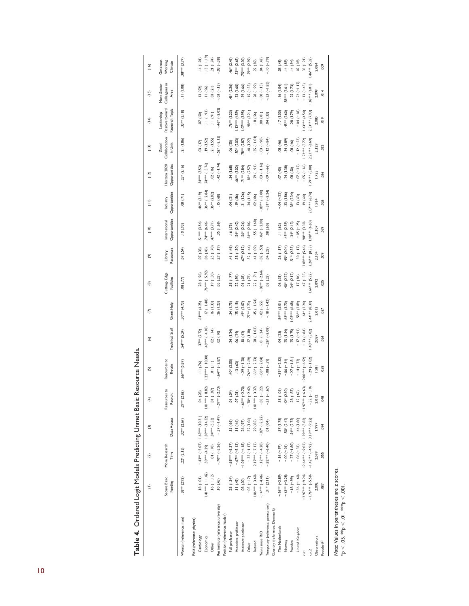|                                                                                             | Ξ                       | ව                                             | ල                                                 | $\widehat{\mathcal{F}}$                                | ග                      | $\circledcirc$  | C                | ම                          | $\circ$              | (10)                          | $\widehat{=}$             | (12)                          | $\begin{pmatrix} 1 & 3 \\ 1 & 2 \end{pmatrix}$ | (14)                                            | (15)                                 | (16)                           |
|---------------------------------------------------------------------------------------------|-------------------------|-----------------------------------------------|---------------------------------------------------|--------------------------------------------------------|------------------------|-----------------|------------------|----------------------------|----------------------|-------------------------------|---------------------------|-------------------------------|------------------------------------------------|-------------------------------------------------|--------------------------------------|--------------------------------|
|                                                                                             | Secure Basic<br>Funding | More Research<br>Time                         | Data Access                                       | Resources to<br><b>Recruit</b>                         | Resources to<br>Retain | Technical Staff | Grant Help       | Cutting-Edge<br>Facilities | Resources<br>Library | Opportunities<br>nternational | Opportunities<br>Industry | Horizon 2020<br>Opportunities | Collaboration<br>in Unit<br>Good               | Positive toward<br>Research Topic<br>Leadership | Colleagues in<br>More Senior<br>Area | Generous<br>Working<br>Climate |
| Woman (reference: man)                                                                      | 38** (2.92)             | $.22*(2.13)$                                  | $.32** (2.67)$                                    | $.29** (2.62)$                                         | $.66***$ $(5.87)$      | 54*** (5.24)    | (61.4)           | $(77)$ 80.                 | (54)                 | (66, 01.                      | .08(71)                   | $.25*(2.16)$                  | .21(1.86)                                      | $33**$ (3.18)                                   | 11(1.08)                             | $.38***$ (3.77)                |
| Field (reference: physics)                                                                  |                         |                                               |                                                   |                                                        |                        |                 |                  |                            |                      |                               |                           |                               |                                                |                                                 |                                      |                                |
| Cardiology                                                                                  | $(1.01)$ 81.            |                                               | $-43*** (-3.07)$ 1.63 <sup>\$\$\$\$</sup> (10.31) | (28)<br>ð                                              | .11(.76)               | $37***$ (2.72)  | $61*** (4.25)$   | .28(1.96)                  | .07(38)              | 51*** (3.54)                  | $46***$ (3.19)            | .54 <sup>***</sup> (3.53)     | $(11)$ 80.                                     | $(05')$ $\angle 0$ .                            | .13(92)                              | .14(1.01)                      |
| Economics                                                                                   | $-1.4$  *** (-11.42)    |                                               |                                                   | $(1.882)$ $(4.29)$ $(1.89***)(1.32)$ $-1.01***(-8.82)$ | $-1.22***(-10.30)$     | $-46***(-4.10)$ | $-17(-1.48)$     | $-.76*** (-5.92)$          | .06(.46)             | $.74***$ (6.46)               | $-36***(-2.84)$           | $-74*** (-5.76)$              | .19(1.52)                                      | $-11 (-.93)$                                    |                                      | $-13(-1.19)$                   |
| Other                                                                                       | $-16(-1.12)$            | $-01(-10)$                                    | .84 *** (5.53)                                    | $(-.07)$<br>$\overline{a}$                             | $(11)$ 0.              | $-0.02(-.14)$   | .16(1.33)        | $(05.1)$ $61.$             | .25(1.70)            | $.47***$ (3.71)               | 36** (2.82)               | .02(.16)                      | .21(1.55)                                      | $(16)$ II                                       | $\frac{11(0.96)}{03(0.21)}$          | .21(1.74)                      |
| Res institute (reference: university)                                                       | $(45)$ 01.              | $-.70***(-3.26)$                              | $-37(-1.49)$                                      | $-59** (-2.73)$                                        | $-.64***(-2.87)$       | .02(10)         | .26(1.23)        | .05(23)                    | (1.19)               | .35(1.68)                     | .15(68)                   | $-42 (-1.74)$                 | $-52$ <sup>*</sup> $(-2.13)$                   | $-46* (-2.02)$                                  | $-0.03(-13)$                         | $-0.08(-0.38)$                 |
| Position (reference: leader)                                                                |                         |                                               |                                                   |                                                        |                        |                 |                  |                            |                      |                               |                           |                               |                                                |                                                 |                                      |                                |
| Full professor                                                                              | .28(1.34)               | $-.68***(-3.37)$                              | .15(.66)                                          | (0.0)<br>ē                                             | $.40* (2.05)$          | .24(1.24)       | .34(1.75)        | .38(1.77)                  | $(8 + 1)$   $+ 1$    | .16(75)                       | .04(21)                   | .34(1.68)                     | .06(25)                                        | $76**$ (3.23)                                   | 46* (2.36)                           | $.46* (2.46)$                  |
| Associate professor                                                                         | $(64)$   .              | $-.67***(-3.13)$                              | .11(46)                                           | $(31)$<br>$\overline{a}$                               | .13(63)                | .06(29)         | .25(1.18)        | .22(96)                    | (0.130)              | $.54* (2.42)$                 | (96, 96)                  | 66** (3.02)                   | 50* (2.03)                                     | $1.12*** (4.59)$                                | .33(1.60)                            | $.53*** (2.68)$                |
| Assistant professor                                                                         | .08(.30)                | $-1.01***(-4.18)$                             | (56)(.97)                                         | $-66** (-2.70)$                                        | $-29 (-1.20)$          | .10(42)         | $.49* (2.07)$    | (60) 10.                   | $.67* (2.12)$        | $.56* (2.26)$                 | .31(1.26)                 | 7  ** (2.84)                  | 78** (2.87)                                    | $1.07***$ (3.95)                                | .39 (1.66)                           | 75*** (3.30)                   |
| Other                                                                                       | $-0.05(-17)$            | $-.33(-1.17)$                                 | .32(1.06)                                         | $(-2.42)$<br>$-70*$                                    | $-76**(-2.69)$         | .37(1.38)       | $77** (2.73)$    | .21(73)                    | .52(1.44)            | $81** (2.86)$                 | .34(1.15)                 | $.83*(2.57)$                  | $-40(1.27)$                                    | ,98** (3.21)                                    | $-15(-55)$                           | 79** (2.99)                    |
| Retired                                                                                     | $-1.06*** (-3.60)$      | $-2.17***(-7.12)$                             | .29(.85)                                          | $-1.01*** (-3.37)$                                     | $-.66* (-2.23)$        | $-0.1 - 0.28$   | $-45 (-1.54)$    | $-22(-71)$                 | $(60.1)$ 14.         | $-55 (-1.68)$                 | .02(06)                   | $-29(-91)$                    | $-35(-1.01)$                                   | .18(.56)                                        | $-28(-99)$                           | .22(.82)                       |
| Years since PhD                                                                             | $-14** (-4.46)$         | $-12***(-4.20)$                               | $-07*(-2.22)$                                     | $(-1.22)$<br>$-03$                                     | $-0.06*(-2.04)$        | $-01 (-24)$     | $-0.02(-55)$     | $.08*** (-2.64)$           | $.02 (-53)$          | $-.06* (-2.00)$               | $.09** (-3.00)$           | $-0.03(-1.16)$                | $-.03(-.90)$                                   | $(10')$ 00.                                     | $-00 (-15)$                          | .04(1.43)                      |
| Temporary (reference: permanent)                                                            | $.31* (2.11)$           | $-0.82*** (-6.40)$                            | $(40)$ $10.$                                      | $(-1.67)$<br>$-21$                                     | $-.08 (-.59)$          | $.26* (-2.08)$  | $-18 (-1.42)$    | .03(23)                    | .04(23)              | $(09')$ 80.                   | $-31*(-2.24)$             | $(-.66)$                      | $-.12 (-.84)$                                  | .04(.33)                                        | $-23(-1.85)$                         | $-10(-.79)$                    |
| Country (reference: Denmark)                                                                |                         |                                               |                                                   |                                                        |                        |                 |                  |                            |                      |                               |                           |                               |                                                |                                                 |                                      |                                |
| The Netherlands                                                                             | $-56*** (-2.89)$        | $-16(-37)$                                    | .37(1.78)                                         | (1.05)<br>$\frac{\infty}{\cdot}$                       | $-39*(-2.32)$          | .04(23)         | 84*** (5.01)     | .06(.31)                   | .26(1.17)            | .11(62)                       | $-.04 (-.22)$             | $(0 + 1)$ $L0$ .              | .08(.46)                                       | (17)(1.00)                                      | 16(1.04)                             | (84, 98)                       |
| Norway                                                                                      | $-63**(-3.28)$          | $-0.00(-0.01)$                                | $.50*(2.42)$                                      | $42* (2.50)$                                           | $-.06 (-34)$           | .25(1.54)       | $.63***$ (3.70)  | $.40^{*} (2.22)$           | $.45* (2.04)$        | $45** (2.59)$                 | .33(1.86)                 | .24(1.38)                     | .34(1.89)                                      | $.45** (2.60)$                                  | 58*** (3.61)                         | $(68)$ +1.                     |
| Sweden                                                                                      | $-18(-99)$              | $-27 (-1.80)$                                 | 54** (2.75)                                       | (1.87)<br>$-28$                                        | $-27 (-1.81)$          | .25(1.75)       | $1.03***$ (6.68) | $.34* (2.12)$              | $.51* (2.55)$        | $.34* (2.13)$                 | $.38* (2.34)$             | .08(.50)                      | $.08 (+6)$                                     | (1.79)                                          | .25(1.73)                            | (14(94)                        |
| United Kingdom                                                                              | $-.36 (-1.60)$          | $-0.06(-33)$                                  | .44(1.80)                                         | (62)<br>$\frac{1}{2}$                                  | $-.14(-.73)$           | $-17(-.91)$     | 58** (2.89)      | .17(84)                    | 30(1.17)             | $-0.05 (-25)$                 | .13(63)                   | $-0.07(-.35)$                 | $-.12(-.53)$                                   | $-0.04 (-18)$                                   | $-22(-1.17)$                         | $(60)$ $20$ .                  |
| cutl                                                                                        | $-2.97*** (-9.24)$      | $-2.64***(-9.02)$ 1.99*** (5.83)              |                                                   | $(-6.63)$<br>$-1.97***$                                | $-2.00***(-6.92)$      | $-23(-84)$      | $.64* (2.24)$    | $-47(1.55)$                | 2.09*** (5.46)       | 98*** (3.30)                  | .19(64)                   | $-0.05(-16)$                  | $1.22***$ $(3.72)$                             | $1.43***$ $(4.54)$                              | $-13(-45)$                           | .33(1.21)                      |
| cut2                                                                                        | $-1.76*** (-5.58)$      | $-1.42***(-4.92)$ 3.19 <sup>3618</sup> (9.22) |                                                   | $-.32(-1.10)$                                          | $-29(-1.02)$           | 40*** (5.02)    | $2.44***$ (8.39) | .64*** (5.32)              | $3.24***$ (8.33)     | 1.98**** (6.60)               | $2.07***$ (6.74)          | .79*** (5.88)                 | $2.21***$ (6.69)                               | $2.53***$ (7.93)                                | $.68*** (6.01)$                      | $1.46***$ (5.32)               |
| Observations                                                                                | 2,092                   | 2,099                                         | 1,997                                             | 2,012                                                  | 1,981                  | 2,087           | 2,013            | 2,092                      | 2,104                | 2,107                         | 1,964                     | 1,735                         | 2,129                                          | 2,080                                           | 2,099                                | 2,084                          |
| Pseudo-R <sup>2</sup>                                                                       | 087                     | .055                                          | 094                                               | 048                                                    | 058                    | 024             | 037              | .025                       | 600                  | 039                           | .026                      | 036                           | 022                                            | $\frac{6}{10}$                                  | $\frac{4}{10}$                       | $\frac{600}{2}$                |
| Note: Values in parentheses are z scores.<br>$*_{p} < .05.$ $*_{kp} < .01.$ $*_{wp} < .001$ |                         |                                               |                                                   |                                                        |                        |                 |                  |                            |                      |                               |                           |                               |                                                |                                                 |                                      |                                |
|                                                                                             |                         |                                               |                                                   |                                                        |                        |                 |                  |                            |                      |                               |                           |                               |                                                |                                                 |                                      |                                |

Table 4. Ordered Logit Models Predicting Unmet Basic Resource Needs. **Table 4.** Ordered Logit Models Predicting Unmet Basic Resource Needs.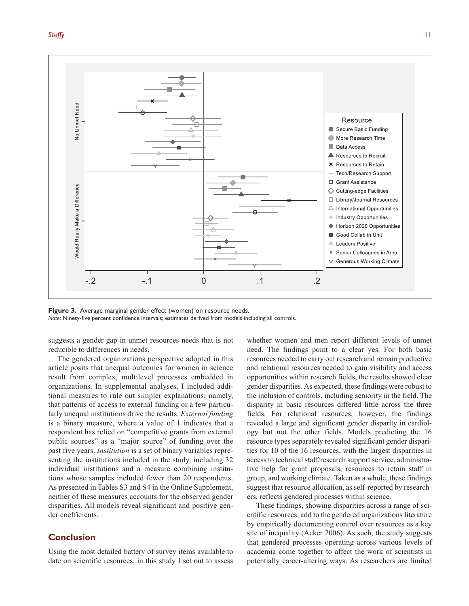

**Figure 3.** Average marginal gender effect (women) on resource needs. *Note*: Ninety-five percent confidence intervals; estimates derived from models including all controls.

suggests a gender gap in unmet resources needs that is not reducible to differences in needs.

The gendered organizations perspective adopted in this article posits that unequal outcomes for women in science result from complex, multilevel processes embedded in organizations. In supplemental analyses, I included additional measures to rule out simpler explanations: namely, that patterns of access to external funding or a few particularly unequal institutions drive the results. *External funding* is a binary measure, where a value of 1 indicates that a respondent has relied on "competitive grants from external public sources" as a "major source" of funding over the past five years. *Institution* is a set of binary variables representing the institutions included in the study, including 32 individual institutions and a measure combining institutions whose samples included fewer than 20 respondents. As presented in Tables S3 and S4 in the Online Supplement, neither of these measures accounts for the observed gender disparities. All models reveal significant and positive gender coefficients.

# **Conclusion**

Using the most detailed battery of survey items available to date on scientific resources, in this study I set out to assess whether women and men report different levels of unmet need. The findings point to a clear yes. For both basic resources needed to carry out research and remain productive and relational resources needed to gain visibility and access opportunities within research fields, the results showed clear gender disparities. As expected, these findings were robust to the inclusion of controls, including seniority in the field. The disparity in basic resources differed little across the three fields. For relational resources, however, the findings revealed a large and significant gender disparity in cardiology but not the other fields. Models predicting the 16 resource types separately revealed significant gender disparities for 10 of the 16 resources, with the largest disparities in access to technical staff/research support service, administrative help for grant proposals, resources to retain staff in group, and working climate. Taken as a whole, these findings suggest that resource allocation, as self-reported by researchers, reflects gendered processes within science.

These findings, showing disparities across a range of scientific resources, add to the gendered organizations literature by empirically documenting control over resources as a key site of inequality (Acker 2006). As such, the study suggests that gendered processes operating across various levels of academia come together to affect the work of scientists in potentially career-altering ways. As researchers are limited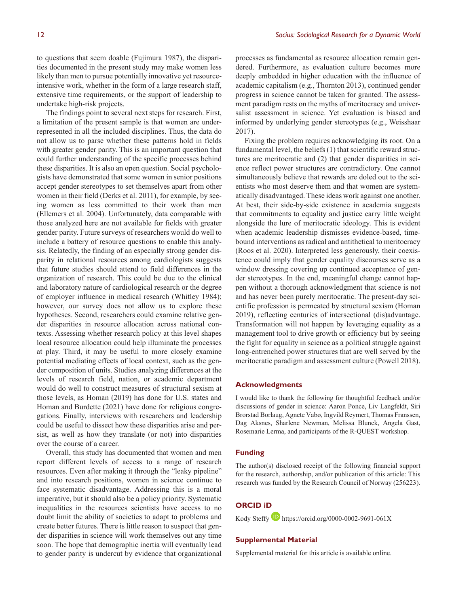to questions that seem doable (Fujimura 1987), the disparities documented in the present study may make women less likely than men to pursue potentially innovative yet resourceintensive work, whether in the form of a large research staff, extensive time requirements, or the support of leadership to undertake high-risk projects.

The findings point to several next steps for research. First, a limitation of the present sample is that women are underrepresented in all the included disciplines. Thus, the data do not allow us to parse whether these patterns hold in fields with greater gender parity. This is an important question that could further understanding of the specific processes behind these disparities. It is also an open question. Social psychologists have demonstrated that some women in senior positions accept gender stereotypes to set themselves apart from other women in their field (Derks et al. 2011), for example, by seeing women as less committed to their work than men (Ellemers et al. 2004). Unfortunately, data comparable with those analyzed here are not available for fields with greater gender parity. Future surveys of researchers would do well to include a battery of resource questions to enable this analysis. Relatedly, the finding of an especially strong gender disparity in relational resources among cardiologists suggests that future studies should attend to field differences in the organization of research. This could be due to the clinical and laboratory nature of cardiological research or the degree of employer influence in medical research (Whitley 1984); however, our survey does not allow us to explore these hypotheses. Second, researchers could examine relative gender disparities in resource allocation across national contexts. Assessing whether research policy at this level shapes local resource allocation could help illuminate the processes at play. Third, it may be useful to more closely examine potential mediating effects of local context, such as the gender composition of units. Studies analyzing differences at the levels of research field, nation, or academic department would do well to construct measures of structural sexism at those levels, as Homan (2019) has done for U.S. states and Homan and Burdette (2021) have done for religious congregations. Finally, interviews with researchers and leadership could be useful to dissect how these disparities arise and persist, as well as how they translate (or not) into disparities over the course of a career.

Overall, this study has documented that women and men report different levels of access to a range of research resources. Even after making it through the "leaky pipeline" and into research positions, women in science continue to face systematic disadvantage. Addressing this is a moral imperative, but it should also be a policy priority. Systematic inequalities in the resources scientists have access to no doubt limit the ability of societies to adapt to problems and create better futures. There is little reason to suspect that gender disparities in science will work themselves out any time soon. The hope that demographic inertia will eventually lead to gender parity is undercut by evidence that organizational

processes as fundamental as resource allocation remain gendered. Furthermore, as evaluation culture becomes more deeply embedded in higher education with the influence of academic capitalism (e.g., Thornton 2013), continued gender progress in science cannot be taken for granted. The assessment paradigm rests on the myths of meritocracy and universalist assessment in science. Yet evaluation is biased and informed by underlying gender stereotypes (e.g., Weisshaar 2017).

Fixing the problem requires acknowledging its root. On a fundamental level, the beliefs (1) that scientific reward structures are meritocratic and (2) that gender disparities in science reflect power structures are contradictory. One cannot simultaneously believe that rewards are doled out to the scientists who most deserve them and that women are systematically disadvantaged. These ideas work against one another. At best, their side-by-side existence in academia suggests that commitments to equality and justice carry little weight alongside the lure of meritocratic ideology. This is evident when academic leadership dismisses evidence-based, timebound interventions as radical and antithetical to meritocracy (Roos et al. 2020). Interpreted less generously, their coexistence could imply that gender equality discourses serve as a window dressing covering up continued acceptance of gender stereotypes. In the end, meaningful change cannot happen without a thorough acknowledgment that science is not and has never been purely meritocratic. The present-day scientific profession is permeated by structural sexism (Homan 2019), reflecting centuries of intersectional (dis)advantage. Transformation will not happen by leveraging equality as a management tool to drive growth or efficiency but by seeing the fight for equality in science as a political struggle against long-entrenched power structures that are well served by the meritocratic paradigm and assessment culture (Powell 2018).

#### **Acknowledgments**

I would like to thank the following for thoughtful feedback and/or discussions of gender in science: Aaron Ponce, Liv Langfeldt, Siri Brorstad Borlaug, Agnete Vabø, Ingvild Reymert, Thomas Franssen, Dag Aksnes, Sharlene Newman, Melissa Blunck, Angela Gast, Rosemarie Lerma, and participants of the R-QUEST workshop.

### **Funding**

The author(s) disclosed receipt of the following financial support for the research, authorship, and/or publication of this article: This research was funded by the Research Council of Norway (256223).

# **ORCID iD**

Kody Steffy <https://orcid.org/0000-0002-9691-061X>

### **Supplemental Material**

Supplemental material for this article is available online.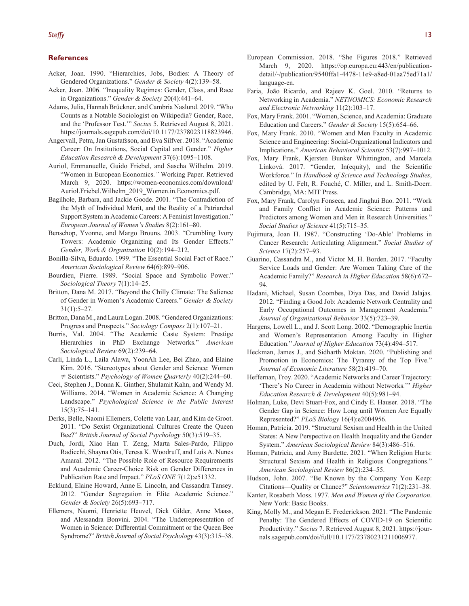#### **References**

- Acker, Joan. 1990. "Hierarchies, Jobs, Bodies: A Theory of Gendered Organizations." *Gender & Society* 4(2):139–58.
- Acker, Joan. 2006. "Inequality Regimes: Gender, Class, and Race in Organizations." *Gender & Society* 20(4):441–64.
- Adams, Julia, Hannah Brückner, and Cambria Naslund. 2019. "Who Counts as a Notable Sociologist on Wikipedia? Gender, Race, and the 'Professor Test.'" *Socius* 5. Retrieved August 8, 2021. <https://journals.sagepub.com/doi/10.1177/2378023118823946>.
- Angervall, Petra, Jan Gustafsson, and Eva Silfver. 2018. "Academic Career: On Institutions, Social Capital and Gender." *Higher Education Research & Development* 37(6):1095–1108.
- Auriol, Emmanuelle, Guido Friebel, and Sascha Wilhelm. 2019. "Women in European Economics.*"* Working Paper. Retrieved March 9, 2020. [https://women-economics.com/download/](https://women-economics.com/download/Auriol.Friebel.Wilhelm_2019_Women.in.Economics.pdf) [Auriol.Friebel.Wilhelm\\_2019\\_Women.in.Economics.pdf](https://women-economics.com/download/Auriol.Friebel.Wilhelm_2019_Women.in.Economics.pdf).
- Bagilhole, Barbara, and Jackie Goode. 2001. "The Contradiction of the Myth of Individual Merit, and the Reality of a Patriarchal Support System in Academic Careers: A Feminist Investigation." *European Journal of Women's Studies* 8(2):161–80.
- Benschop, Yvonne, and Margo Brouns. 2003. "Crumbling Ivory Towers: Academic Organizing and Its Gender Effects." *Gender, Work & Organization* 10(2):194–212.
- Bonilla-Silva, Eduardo. 1999. "The Essential Social Fact of Race." *American Sociological Review* 64(6):899–906.
- Bourdieu, Pierre. 1989. "Social Space and Symbolic Power." *Sociological Theory* 7(1):14–25.
- Britton, Dana M. 2017. "Beyond the Chilly Climate: The Salience of Gender in Women's Academic Careers." *Gender & Society* 31(1):5–27.
- Britton, Dana M., and Laura Logan. 2008. "Gendered Organizations: Progress and Prospects." *Sociology Compass* 2(1):107–21.
- Burris, Val. 2004. "The Academic Caste System: Prestige Hierarchies in PhD Exchange Networks." *American Sociological Review* 69(2):239–64.
- Carli, Linda L., Laila Alawa, YoonAh Lee, Bei Zhao, and Elaine Kim. 2016. "Stereotypes about Gender and Science: Women ≠ Scientists." *Psychology of Women Quarterly* 40(2):244–60.
- Ceci, Stephen J., Donna K. Ginther, Shulamit Kahn, and Wendy M. Williams. 2014. "Women in Academic Science: A Changing Landscape." *Psychological Science in the Public Interest* 15(3):75–141.
- Derks, Belle, Naomi Ellemers, Colette van Laar, and Kim de Groot. 2011. "Do Sexist Organizational Cultures Create the Queen Bee?" *British Journal of Social Psychology* 50(3):519–35.
- Duch, Jordi, Xiao Han T. Zeng, Marta Sales-Pardo, Filippo Radicchi, Shayna Otis, Teresa K. Woodruff, and Luís A. Nunes Amaral. 2012. "The Possible Role of Resource Requirements and Academic Career-Choice Risk on Gender Differences in Publication Rate and Impact." *PLoS ONE* 7(12):e51332.
- Ecklund, Elaine Howard, Anne E. Lincoln, and Cassandra Tansey. 2012. "Gender Segregation in Elite Academic Science." *Gender & Society* 26(5):693–717.
- Ellemers, Naomi, Henriette Heuvel, Dick Gilder, Anne Maass, and Alessandra Bonvini. 2004. "The Underrepresentation of Women in Science: Differential Commitment or the Queen Bee Syndrome?" *British Journal of Social Psychology* 43(3):315–38.
- European Commission. 2018. "She Figures 2018." Retrieved March 9, 2020. [https://op.europa.eu:443/en/publication](https://op.europa.eu:443/en/publication-detail/-/publication/9540ffa1-4478-11e9-a8ed-01aa75ed71a1/language-en)[detail/-/publication/9540ffa1-4478-11e9-a8ed-01aa75ed71a1/](https://op.europa.eu:443/en/publication-detail/-/publication/9540ffa1-4478-11e9-a8ed-01aa75ed71a1/language-en) [language-en](https://op.europa.eu:443/en/publication-detail/-/publication/9540ffa1-4478-11e9-a8ed-01aa75ed71a1/language-en).
- Faria, João Ricardo, and Rajeev K. Goel. 2010. "Returns to Networking in Academia." *NETNOMICS: Economic Research and Electronic Networking* 11(2):103–17.
- Fox, Mary Frank. 2001. "Women, Science, and Academia: Graduate Education and Careers." *Gender & Society* 15(5):654–66.
- Fox, Mary Frank. 2010. "Women and Men Faculty in Academic Science and Engineering: Social-Organizational Indicators and Implications." *American Behavioral Scientist* 53(7):997–1012.
- Fox, Mary Frank, Kjersten Bunker Whittington, and Marcela Linková. 2017. "Gender, In(equity), and the Scientific Workforce." In *Handbook of Science and Technology Studies*, edited by U. Felt, R. Fouché, C. Miller, and L. Smith-Doerr. Cambridge, MA: MIT Press.
- Fox, Mary Frank, Carolyn Fonseca, and Jinghui Bao. 2011. "Work and Family Conflict in Academic Science: Patterns and Predictors among Women and Men in Research Universities." *Social Studies of Science* 41(5):715–35.
- Fujimura, Joan H. 1987. "Constructing 'Do-Able' Problems in Cancer Research: Articulating Alignment." *Social Studies of Science* 17(2):257–93.
- Guarino, Cassandra M., and Victor M. H. Borden. 2017. "Faculty Service Loads and Gender: Are Women Taking Care of the Academic Family?" *Research in Higher Education* 58(6):672– 94.
- Hadani, Michael, Susan Coombes, Diya Das, and David Jalajas. 2012. "Finding a Good Job: Academic Network Centrality and Early Occupational Outcomes in Management Academia." *Journal of Organizational Behavior* 33(5):723–39.
- Hargens, Lowell L., and J. Scott Long. 2002. "Demographic Inertia and Women's Representation Among Faculty in Higher Education." *Journal of Higher Education* 73(4):494–517.
- Heckman, James J., and Sidharth Moktan. 2020. "Publishing and Promotion in Economics: The Tyranny of the Top Five." *Journal of Economic Literature* 58(2):419–70.
- Heffernan, Troy. 2020. "Academic Networks and Career Trajectory: 'There's No Career in Academia without Networks.'" *Higher Education Research & Development* 40(5):981–94.
- Holman, Luke, Devi Stuart-Fox, and Cindy E. Hauser. 2018. "The Gender Gap in Science: How Long until Women Are Equally Represented?" *PLoS Biology* 16(4):e2004956.
- Homan, Patricia. 2019. "Structural Sexism and Health in the United States: A New Perspective on Health Inequality and the Gender System." *American Sociological Review* 84(3):486–516.
- Homan, Patricia, and Amy Burdette. 2021. "When Religion Hurts: Structural Sexism and Health in Religious Congregations." *American Sociological Review* 86(2):234–55.
- Hudson, John. 2007. "Be Known by the Company You Keep: Citations—Quality or Chance?" *Scientometrics* 71(2):231–38.
- Kanter, Rosabeth Moss. 1977. *Men and Women of the Corporation*. New York: Basic Books.
- King, Molly M., and Megan E. Frederickson. 2021. "The Pandemic Penalty: The Gendered Effects of COVID-19 on Scientific Productivity." *Socius* 7. Retrieved August 8, 2021. [https://jour](https://journals.sagepub.com/doi/full/10.1177/23780231211006977)[nals.sagepub.com/doi/full/10.1177/23780231211006977](https://journals.sagepub.com/doi/full/10.1177/23780231211006977).